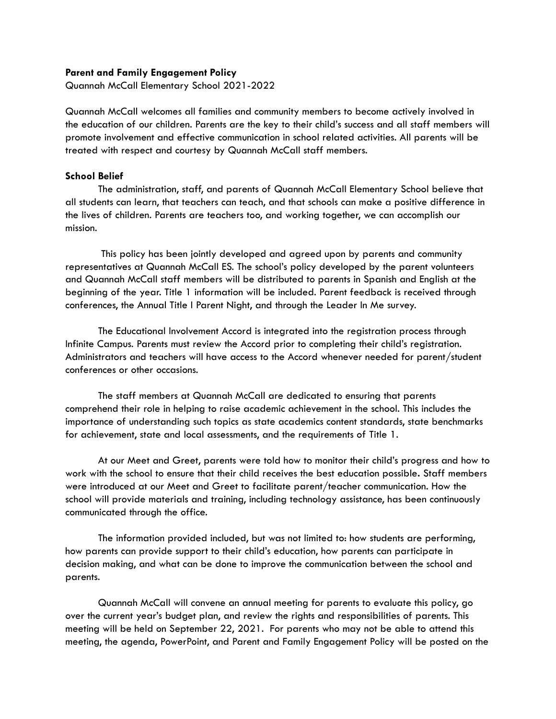## **Parent and Family Engagement Policy**

Quannah McCall Elementary School 2021-2022

Quannah McCall welcomes all families and community members to become actively involved in the education of our children. Parents are the key to their child's success and all staff members will promote involvement and effective communication in school related activities. All parents will be treated with respect and courtesy by Quannah McCall staff members.

## **School Belief**

The administration, staff, and parents of Quannah McCall Elementary School believe that all students can learn, that teachers can teach, and that schools can make a positive difference in the lives of children. Parents are teachers too, and working together, we can accomplish our mission.

This policy has been jointly developed and agreed upon by parents and community representatives at Quannah McCall ES. The school's policy developed by the parent volunteers and Quannah McCall staff members will be distributed to parents in Spanish and English at the beginning of the year. Title 1 information will be included. Parent feedback is received through conferences, the Annual Title I Parent Night, and through the Leader In Me survey.

The Educational Involvement Accord is integrated into the registration process through Infinite Campus. Parents must review the Accord prior to completing their child's registration. Administrators and teachers will have access to the Accord whenever needed for parent/student conferences or other occasions.

The staff members at Quannah McCall are dedicated to ensuring that parents comprehend their role in helping to raise academic achievement in the school. This includes the importance of understanding such topics as state academics content standards, state benchmarks for achievement, state and local assessments, and the requirements of Title 1.

At our Meet and Greet, parents were told how to monitor their child's progress and how to work with the school to ensure that their child receives the best education possible**.** Staff members were introduced at our Meet and Greet to facilitate parent/teacher communication. How the school will provide materials and training, including technology assistance, has been continuously communicated through the office.

The information provided included, but was not limited to: how students are performing, how parents can provide support to their child's education, how parents can participate in decision making, and what can be done to improve the communication between the school and parents.

Quannah McCall will convene an annual meeting for parents to evaluate this policy, go over the current year's budget plan, and review the rights and responsibilities of parents. This meeting will be held on September 22, 2021. For parents who may not be able to attend this meeting, the agenda, PowerPoint, and Parent and Family Engagement Policy will be posted on the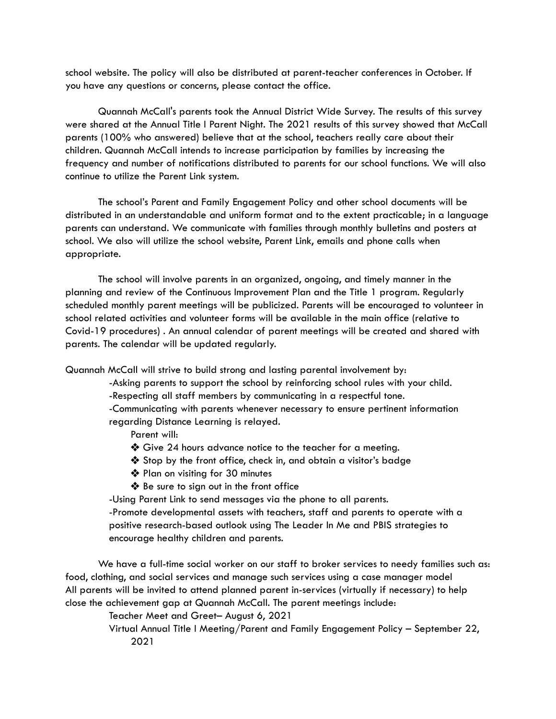school website. The policy will also be distributed at parent-teacher conferences in October. If you have any questions or concerns, please contact the office.

Quannah McCall's parents took the Annual District Wide Survey. The results of this survey were shared at the Annual Title I Parent Night. The 2021 results of this survey showed that McCall parents (100% who answered) believe that at the school, teachers really care about their children. Quannah McCall intends to increase participation by families by increasing the frequency and number of notifications distributed to parents for our school functions. We will also continue to utilize the Parent Link system.

The school's Parent and Family Engagement Policy and other school documents will be distributed in an understandable and uniform format and to the extent practicable; in a language parents can understand. We communicate with families through monthly bulletins and posters at school. We also will utilize the school website, Parent Link, emails and phone calls when appropriate.

The school will involve parents in an organized, ongoing, and timely manner in the planning and review of the Continuous Improvement Plan and the Title 1 program. Regularly scheduled monthly parent meetings will be publicized. Parents will be encouraged to volunteer in school related activities and volunteer forms will be available in the main office (relative to Covid-19 procedures) . An annual calendar of parent meetings will be created and shared with parents. The calendar will be updated regularly.

Quannah McCall will strive to build strong and lasting parental involvement by:

-Asking parents to support the school by reinforcing school rules with your child.

-Respecting all staff members by communicating in a respectful tone.

-Communicating with parents whenever necessary to ensure pertinent information regarding Distance Learning is relayed.

Parent will:

- ❖ Give 24 hours advance notice to the teacher for a meeting.
- ❖ Stop by the front office, check in, and obtain a visitor's badge
- ❖ Plan on visiting for 30 minutes
- ❖ Be sure to sign out in the front office

-Using Parent Link to send messages via the phone to all parents.

-Promote developmental assets with teachers, staff and parents to operate with a positive research-based outlook using The Leader In Me and PBIS strategies to encourage healthy children and parents.

We have a full-time social worker on our staff to broker services to needy families such as: food, clothing, and social services and manage such services using a case manager model All parents will be invited to attend planned parent in-services (virtually if necessary) to help close the achievement gap at Quannah McCall. The parent meetings include:

Teacher Meet and Greet– August 6, 2021

Virtual Annual Title I Meeting/Parent and Family Engagement Policy – September 22, 2021